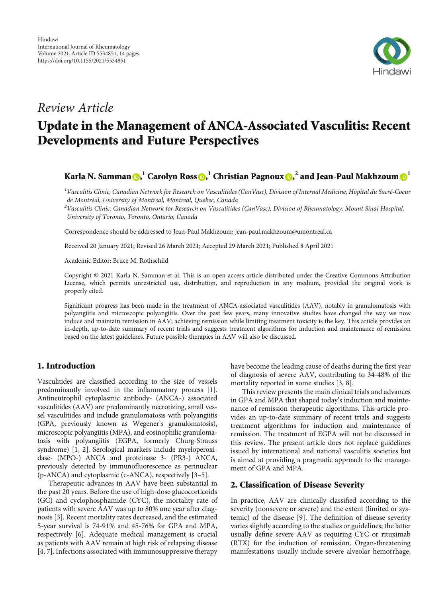

# Review Article

# Update in the Management of ANCA-Associated Vasculitis: Recent Developments and Future Perspectives

Karla N. Samman **D[,](https://orcid.org/0000-0001-6287-9549)**  $^1$  **Carolyn Ross D,**  $^1$  **Christian Pagnoux <b>D,**  $^2$  and Jean-Paul Makhzoum  $\mathbf{\Theta}^1$ 

 $^1$ Vasculitis Clinic, Canadian Network for Research on Vasculitides (CanVasc), Division of Internal Medicine, Hôpital du Sacré-Coeur de Montréal, University of Montreal, Montreal, Quebec, Canada

 $^2$ Vasculitis Clinic, Canadian Network for Research on Vasculitides (CanVasc), Division of Rheumatology, Mount Sinai Hospital, University of Toronto, Toronto, Ontario, Canada

Correspondence should be addressed to Jean-Paul Makhzoum; jean-paul.makhzoum@umontreal.ca

Received 20 January 2021; Revised 26 March 2021; Accepted 29 March 2021; Published 8 April 2021

Academic Editor: Bruce M. Rothschild

Copyright © 2021 Karla N. Samman et al. This is an open access article distributed under the [Creative Commons Attribution](https://creativecommons.org/licenses/by/4.0/) [License,](https://creativecommons.org/licenses/by/4.0/) which permits unrestricted use, distribution, and reproduction in any medium, provided the original work is properly cited.

Significant progress has been made in the treatment of ANCA-associated vasculitides (AAV), notably in granulomatosis with polyangiitis and microscopic polyangiitis. Over the past few years, many innovative studies have changed the way we now induce and maintain remission in AAV; achieving remission while limiting treatment toxicity is the key. This article provides an in-depth, up-to-date summary of recent trials and suggests treatment algorithms for induction and maintenance of remission based on the latest guidelines. Future possible therapies in AAV will also be discussed.

# 1. Introduction

Vasculitides are classified according to the size of vessels predominantly involved in the inflammatory process [[1](#page-11-0)]. Antineutrophil cytoplasmic antibody- (ANCA-) associated vasculitides (AAV) are predominantly necrotizing, small vessel vasculitides and include granulomatosis with polyangiitis (GPA, previously known as Wegener's granulomatosis), microscopic polyangiitis (MPA), and eosinophilic granulomatosis with polyangiitis (EGPA, formerly Churg-Strauss syndrome) [[1](#page-11-0), [2](#page-11-0)]. Serological markers include myeloperoxidase- (MPO-) ANCA and proteinase 3- (PR3-) ANCA, previously detected by immunofluorescence as perinuclear (p-ANCA) and cytoplasmic (c-ANCA), respectively [[3](#page-11-0)–[5](#page-11-0)].

Therapeutic advances in AAV have been substantial in the past 20 years. Before the use of high-dose glucocorticoids (GC) and cyclophosphamide (CYC), the mortality rate of patients with severe AAV was up to 80% one year after diagnosis [[3\]](#page-11-0). Recent mortality rates decreased, and the estimated 5-year survival is 74-91% and 45-76% for GPA and MPA, respectively [\[6](#page-11-0)]. Adequate medical management is crucial as patients with AAV remain at high risk of relapsing disease [\[4](#page-11-0), [7](#page-11-0)]. Infections associated with immunosuppressive therapy

have become the leading cause of deaths during the first year of diagnosis of severe AAV, contributing to 34-48% of the mortality reported in some studies [\[3](#page-11-0), [8\]](#page-11-0).

This review presents the main clinical trials and advances in GPA and MPA that shaped today's induction and maintenance of remission therapeutic algorithms. This article provides an up-to-date summary of recent trials and suggests treatment algorithms for induction and maintenance of remission. The treatment of EGPA will not be discussed in this review. The present article does not replace guidelines issued by international and national vasculitis societies but is aimed at providing a pragmatic approach to the management of GPA and MPA.

## 2. Classification of Disease Severity

In practice, AAV are clinically classified according to the severity (nonsevere or severe) and the extent (limited or systemic) of the disease [[9\]](#page-11-0). The definition of disease severity varies slightly according to the studies or guidelines; the latter usually define severe AAV as requiring CYC or rituximab (RTX) for the induction of remission. Organ-threatening manifestations usually include severe alveolar hemorrhage,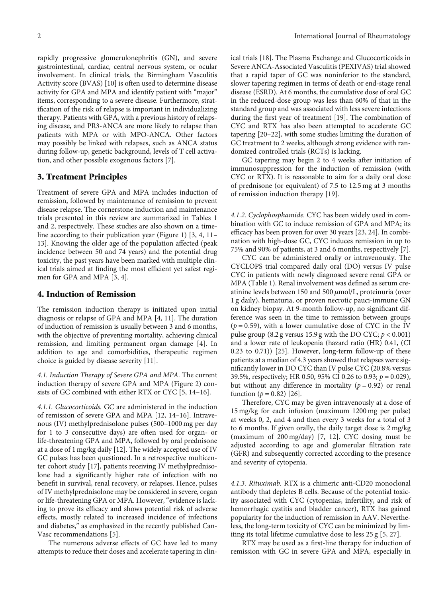rapidly progressive glomerulonephritis (GN), and severe gastrointestinal, cardiac, central nervous system, or ocular involvement. In clinical trials, the Birmingham Vasculitis Activity score (BVAS) [\[10\]](#page-11-0) is often used to determine disease activity for GPA and MPA and identify patient with "major" items, corresponding to a severe disease. Furthermore, stratification of the risk of relapse is important in individualizing therapy. Patients with GPA, with a previous history of relapsing disease, and PR3-ANCA are more likely to relapse than patients with MPA or with MPO-ANCA. Other factors may possibly be linked with relapses, such as ANCA status during follow-up, genetic background, levels of T cell activation, and other possible exogenous factors [[7](#page-11-0)].

#### 3. Treatment Principles

Treatment of severe GPA and MPA includes induction of remission, followed by maintenance of remission to prevent disease relapse. The cornerstone induction and maintenance trials presented in this review are summarized in Tables [1](#page-2-0) and [2,](#page-4-0) respectively. These studies are also shown on a timeline according to their publication year (Figure [1\)](#page-5-0) [\[3](#page-11-0), [4](#page-11-0), [11](#page-12-0)– [13\]](#page-12-0). Knowing the older age of the population affected (peak incidence between 50 and 74 years) and the potential drug toxicity, the past years have been marked with multiple clinical trials aimed at finding the most efficient yet safest regimen for GPA and MPA [\[3, 4\]](#page-11-0).

#### 4. Induction of Remission

The remission induction therapy is initiated upon initial diagnosis or relapse of GPA and MPA [\[4](#page-11-0), [11\]](#page-12-0). The duration of induction of remission is usually between 3 and 6 months, with the objective of preventing mortality, achieving clinical remission, and limiting permanent organ damage [\[4\]](#page-11-0). In addition to age and comorbidities, therapeutic regimen choice is guided by disease severity [\[11\]](#page-12-0).

4.1. Induction Therapy of Severe GPA and MPA. The current induction therapy of severe GPA and MPA (Figure [2](#page-6-0)) consists of GC combined with either RTX or CYC [\[5,](#page-11-0) [14](#page-12-0)–[16](#page-12-0)].

4.1.1. Glucocorticoids. GC are administered in the induction of remission of severe GPA and MPA [[12](#page-12-0), [14](#page-12-0)–[16](#page-12-0)]. Intravenous (IV) methylprednisolone pulses (500–1000 mg per day for 1 to 3 consecutive days) are often used for organ- or life-threatening GPA and MPA, followed by oral prednisone at a dose of 1 mg/kg daily [\[12\]](#page-12-0). The widely accepted use of IV GC pulses has been questioned. In a retrospective multicenter cohort study [[17](#page-12-0)], patients receiving IV methylprednisolone had a significantly higher rate of infection with no benefit in survival, renal recovery, or relapses. Hence, pulses of IV methylprednisolone may be considered in severe, organ or life-threatening GPA or MPA. However, "evidence is lacking to prove its efficacy and shows potential risk of adverse effects, mostly related to increased incidence of infections and diabetes," as emphasized in the recently published Can-Vasc recommendations [\[5\]](#page-11-0).

The numerous adverse effects of GC have led to many attempts to reduce their doses and accelerate tapering in clinical trials [[18\]](#page-12-0). The Plasma Exchange and Glucocorticoids in Severe ANCA-Associated Vasculitis (PEXIVAS) trial showed that a rapid taper of GC was noninferior to the standard, slower tapering regimen in terms of death or end-stage renal disease (ESRD). At 6 months, the cumulative dose of oral GC in the reduced-dose group was less than 60% of that in the standard group and was associated with less severe infections during the first year of treatment [[19](#page-12-0)]. The combination of CYC and RTX has also been attempted to accelerate GC tapering [\[20](#page-12-0)–[22\]](#page-12-0), with some studies limiting the duration of GC treatment to 2 weeks, although strong evidence with randomized controlled trials (RCTs) is lacking.

GC tapering may begin 2 to 4 weeks after initiation of immunosuppression for the induction of remission (with CYC or RTX). It is reasonable to aim for a daily oral dose of prednisone (or equivalent) of 7.5 to 12.5 mg at 3 months of remission induction therapy [\[19\]](#page-12-0).

4.1.2. Cyclophosphamide. CYC has been widely used in combination with GC to induce remission of GPA and MPA; its efficacy has been proven for over 30 years [\[23, 24\]](#page-12-0). In combination with high-dose GC, CYC induces remission in up to 75% and 90% of patients, at 3 and 6 months, respectively [[7](#page-11-0)].

CYC can be administered orally or intravenously. The CYCLOPS trial compared daily oral (DO) versus IV pulse CYC in patients with newly diagnosed severe renal GPA or MPA (Table [1\)](#page-2-0). Renal involvement was defined as serum creatinine levels between 150 and 500 *μ*mol/L, proteinuria (over 1 g daily), hematuria, or proven necrotic pauci-immune GN on kidney biopsy. At 9-month follow-up, no significant difference was seen in the time to remission between groups  $(p = 0.59)$ , with a lower cumulative dose of CYC in the IV pulse group  $(8.2$  g versus 15.9 g with the DO CYC;  $p < 0.001$ ) and a lower rate of leukopenia (hazard ratio (HR) 0.41, (CI 0.23 to 0.71)) [\[25](#page-12-0)]. However, long-term follow-up of these patients at a median of 4.3 years showed that relapses were significantly lower in DO CYC than IV pulse CYC (20.8% versus 39.5%, respectively; HR 0.50, 95% CI 0.26 to 0.93; *p* = 0*:*029), but without any difference in mortality  $(p = 0.92)$  or renal function ( $p = 0.82$ ) [\[26](#page-12-0)].

Therefore, CYC may be given intravenously at a dose of 15 mg/kg for each infusion (maximum 1200 mg per pulse) at weeks 0, 2, and 4 and then every 3 weeks for a total of 3 to 6 months. If given orally, the daily target dose is 2 mg/kg (maximum of 200 mg/day) [[7,](#page-11-0) [12](#page-12-0)]. CYC dosing must be adjusted according to age and glomerular filtration rate (GFR) and subsequently corrected according to the presence and severity of cytopenia.

4.1.3. Rituximab. RTX is a chimeric anti-CD20 monoclonal antibody that depletes B cells. Because of the potential toxicity associated with CYC (cytopenias, infertility, and risk of hemorrhagic cystitis and bladder cancer), RTX has gained popularity for the induction of remission in AAV. Nevertheless, the long-term toxicity of CYC can be minimized by limiting its total lifetime cumulative dose to less 25 g [\[5,](#page-11-0) [27](#page-12-0)].

RTX may be used as a first-line therapy for induction of remission with GC in severe GPA and MPA, especially in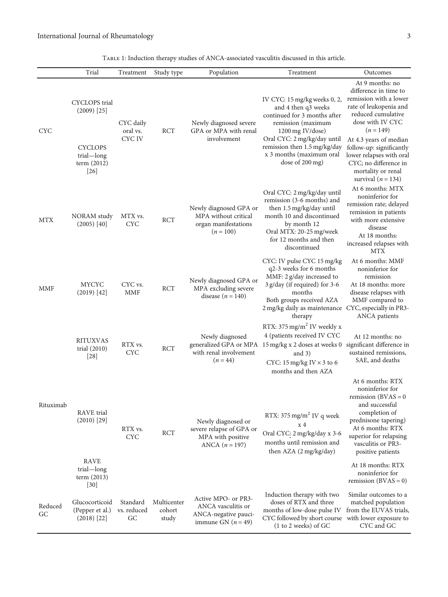<span id="page-2-0"></span>

|               | Trial                                                                                            | Treatment                             | Study type                     | Population                                                                                | Treatment                                                                                                                                                                                                                                   | Outcomes                                                                                                                                                                                                                                                                                                       |
|---------------|--------------------------------------------------------------------------------------------------|---------------------------------------|--------------------------------|-------------------------------------------------------------------------------------------|---------------------------------------------------------------------------------------------------------------------------------------------------------------------------------------------------------------------------------------------|----------------------------------------------------------------------------------------------------------------------------------------------------------------------------------------------------------------------------------------------------------------------------------------------------------------|
| <b>CYC</b>    | <b>CYCLOPS</b> trial<br>$(2009)$ [25]<br><b>CYCLOPS</b><br>trial-long<br>term $(2012)$<br>$[26]$ | CYC daily<br>oral vs.<br><b>CYCIV</b> | <b>RCT</b>                     | Newly diagnosed severe<br>GPA or MPA with renal<br>involvement                            | IV CYC: 15 mg/kg weeks 0, 2,<br>and 4 then q3 weeks<br>continued for 3 months after<br>remission (maximum<br>1200 mg IV/dose)<br>Oral CYC: 2 mg/kg/day until<br>remission then 1.5 mg/kg/day<br>x 3 months (maximum oral<br>dose of 200 mg) | At 9 months: no<br>difference in time to<br>remission with a lower<br>rate of leukopenia and<br>reduced cumulative<br>dose with IV CYC<br>$(n = 149)$<br>At 4.3 years of median<br>follow-up: significantly<br>lower relapses with oral<br>CYC; no difference in<br>mortality or renal<br>survival $(n = 134)$ |
| <b>MTX</b>    | NORAM study<br>$(2005)$ [40]                                                                     | MTX vs.<br><b>CYC</b>                 | <b>RCT</b>                     | Newly diagnosed GPA or<br>MPA without critical<br>organ manifestations<br>$(n = 100)$     | Oral CYC: 2 mg/kg/day until<br>remission (3-6 months) and<br>then 1.5 mg/kg/day until<br>month 10 and discontinued<br>by month 12<br>Oral MTX: 20-25 mg/week<br>for 12 months and then<br>discontinued                                      | At 6 months: MTX<br>noninferior for<br>remission rate; delayed<br>remission in patients<br>with more extensive<br>disease<br>At 18 months:<br>increased relapses with<br><b>MTX</b>                                                                                                                            |
| MMF           | <b>MYCYC</b><br>(2019) [42]                                                                      | CYC vs.<br><b>MMF</b>                 | <b>RCT</b>                     | Newly diagnosed GPA or<br>MPA excluding severe<br>disease $(n = 140)$                     | CYC: IV pulse CYC 15 mg/kg<br>q2-3 weeks for 6 months<br>MMF: 2 g/day increased to<br>3 g/day (if required) for 3-6<br>months<br>Both groups received AZA<br>2 mg/kg daily as maintenance CYC, especially in PR3-<br>therapy                | At 6 months: MMF<br>noninferior for<br>remission<br>At 18 months: more<br>disease relapses with<br>MMF compared to<br>ANCA patients                                                                                                                                                                            |
|               | <b>RITUXVAS</b><br>trial $(2010)$<br>$[28]$                                                      | RTX vs.<br><b>CYC</b>                 | <b>RCT</b>                     | Newly diagnosed<br>generalized GPA or MPA<br>with renal involvement<br>$(n = 44)$         | RTX: 375 mg/m <sup>2</sup> IV weekly x<br>4 (patients received IV CYC<br>15 mg/kg x 2 doses at weeks 0<br>and $3)$<br>CYC: 15 mg/kg IV $\times$ 3 to 6<br>months and then AZA                                                               | At 12 months: no<br>significant difference in<br>sustained remissions,<br>SAE, and deaths                                                                                                                                                                                                                      |
| Rituximab     | RAVE trial<br>$(2010)$ [29]<br><b>RAVE</b>                                                       | RTX vs.<br>CYC                        | RCT                            | Newly diagnosed or<br>severe relapse of GPA or<br>MPA with positive<br>ANCA $(n = 197)$   | RTX: 375 mg/m <sup>2</sup> IV q week<br>x <sub>4</sub><br>Oral CYC: 2 mg/kg/day x 3-6<br>months until remission and<br>then AZA (2 mg/kg/day)                                                                                               | At 6 months: RTX<br>noninferior for<br>remission $(BVAS = 0$<br>and successful<br>completion of<br>prednisone tapering)<br>At 6 months: RTX<br>superior for relapsing<br>vasculitis or PR3-<br>positive patients                                                                                               |
|               | trial-long<br>term $(2013)$<br>$[30]$                                                            |                                       |                                |                                                                                           |                                                                                                                                                                                                                                             | At 18 months: RTX<br>noninferior for<br>remission $(BVAS = 0)$                                                                                                                                                                                                                                                 |
| Reduced<br>GC | Glucocorticoid<br>(Pepper et al.)<br>$(2018)$ [22]                                               | Standard<br>vs. reduced<br>GC         | Multicenter<br>cohort<br>study | Active MPO- or PR3-<br>ANCA vasculitis or<br>ANCA-negative pauci-<br>immune GN $(n = 49)$ | Induction therapy with two<br>doses of RTX and three<br>months of low-dose pulse IV<br>CYC followed by short course<br>(1 to 2 weeks) of GC                                                                                                 | Similar outcomes to a<br>matched population<br>from the EUVAS trials,<br>with lower exposure to<br>CYC and GC                                                                                                                                                                                                  |

| TABLE 1: Induction therapy studies of ANCA-associated vasculitis discussed in this article. |  |  |  |
|---------------------------------------------------------------------------------------------|--|--|--|
|                                                                                             |  |  |  |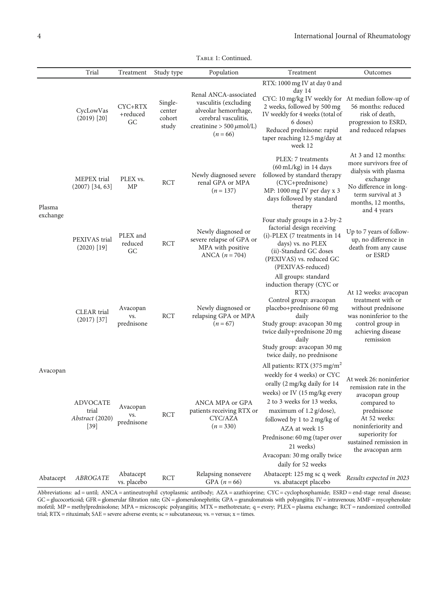|  | TABLE 1: Continued. |  |
|--|---------------------|--|
|  |                     |  |

|                    | Trial                                                 | Treatment                     | Study type                           | Population                                                                                                                                    | Treatment                                                                                                                                                                                                                                                                                                                                            | Outcomes                                                                                                                                                                                               |
|--------------------|-------------------------------------------------------|-------------------------------|--------------------------------------|-----------------------------------------------------------------------------------------------------------------------------------------------|------------------------------------------------------------------------------------------------------------------------------------------------------------------------------------------------------------------------------------------------------------------------------------------------------------------------------------------------------|--------------------------------------------------------------------------------------------------------------------------------------------------------------------------------------------------------|
|                    | CycLowVas<br>$(2019)$ [20]                            | CYC+RTX<br>+reduced<br>GC     | Single-<br>center<br>cohort<br>study | Renal ANCA-associated<br>vasculitis (excluding<br>alveolar hemorrhage,<br>cerebral vasculitis,<br>creatinine > 500 $\mu$ mol/L)<br>$(n = 66)$ | RTX: 1000 mg IV at day 0 and<br>day <sub>14</sub><br>CYC: 10 mg/kg IV weekly for At median follow-up of<br>2 weeks, followed by 500 mg<br>IV weekly for 4 weeks (total of<br>6 doses)<br>Reduced prednisone: rapid<br>taper reaching 12.5 mg/day at<br>week 12                                                                                       | 56 months: reduced<br>risk of death,<br>progression to ESRD,<br>and reduced relapses                                                                                                                   |
| Plasma<br>exchange | MEPEX trial<br>$(2007)$ [34, 63]                      | PLEX vs.<br>MP                | <b>RCT</b>                           | Newly diagnosed severe<br>renal GPA or MPA<br>$(n = 137)$                                                                                     | PLEX: 7 treatments<br>$(60 \text{ mL/kg})$ in 14 days<br>followed by standard therapy<br>(CYC+prednisone)<br>MP: 1000 mg IV per day x 3<br>days followed by standard<br>therapy                                                                                                                                                                      | At 3 and 12 months:<br>more survivors free of<br>dialysis with plasma<br>exchange<br>No difference in long-<br>term survival at 3<br>months, 12 months,<br>and 4 years                                 |
|                    | PEXIVAS trial<br>$(2020)$ [19]                        | PLEX and<br>reduced<br>GC     | <b>RCT</b>                           | Newly diagnosed or<br>severe relapse of GPA or<br>MPA with positive<br>ANCA $(n = 704)$                                                       | Four study groups in a 2-by-2<br>factorial design receiving<br>(i)-PLEX (7 treatments in 14<br>days) vs. no PLEX<br>(ii)-Standard GC doses<br>(PEXIVAS) vs. reduced GC<br>(PEXIVAS-reduced)                                                                                                                                                          | Up to 7 years of follow-<br>up, no difference in<br>death from any cause<br>or ESRD                                                                                                                    |
| Avacopan           | <b>CLEAR</b> trial<br>$(2017)$ [37]                   | Avacopan<br>VS.<br>prednisone | <b>RCT</b>                           | Newly diagnosed or<br>relapsing GPA or MPA<br>$(n = 67)$                                                                                      | All groups: standard<br>induction therapy (CYC or<br>RTX)<br>Control group: avacopan<br>placebo+prednisone 60 mg<br>daily<br>Study group: avacopan 30 mg<br>twice daily+prednisone 20 mg<br>daily<br>Study group: avacopan 30 mg<br>twice daily, no prednisone                                                                                       | At 12 weeks: avacopan<br>treatment with or<br>without prednisone<br>was noninferior to the<br>control group in<br>achieving disease<br>remission                                                       |
|                    | <b>ADVOCATE</b><br>trial<br>Abstract (2020)<br>$[39]$ | Avacopan<br>VS.<br>prednisone | <b>RCT</b>                           | ANCA MPA or GPA<br>patients receiving RTX or<br>CYC/AZA<br>$(n = 330)$                                                                        | All patients: RTX (375 mg/m <sup>2</sup><br>weekly for 4 weeks) or CYC<br>orally (2 mg/kg daily for 14<br>weeks) or IV (15 mg/kg every<br>2 to 3 weeks for 13 weeks,<br>maximum of 1.2 g/dose),<br>followed by 1 to 2 mg/kg of<br>AZA at week 15<br>Prednisone: 60 mg (taper over<br>21 weeks)<br>Avacopan: 30 mg orally twice<br>daily for 52 weeks | At week 26: noninferior<br>remission rate in the<br>avacopan group<br>compared to<br>prednisone<br>At 52 weeks:<br>noninferiority and<br>superiority for<br>sustained remission in<br>the avacopan arm |
| Abatacept          | ${\it ABROGATE}$                                      | Abatacept<br>vs. placebo      | RCT                                  | Relapsing nonsevere<br>GPA $(n = 66)$                                                                                                         | Abatacept: 125 mg sc q week<br>vs. abatacept placebo                                                                                                                                                                                                                                                                                                 | Results expected in 2023                                                                                                                                                                               |

Abbreviations: ad = until; ANCA = antineutrophil cytoplasmic antibody; AZA = azathioprine; CYC = cyclophosphamide; ESRD = end-stage renal disease; GC = glucocorticoid; GFR = glomerular filtration rate; GN = glomerulonephritis; GPA = granulomatosis with polyangiitis; IV = intravenous; MMF = mycophenolate mofetil; MP = methylprednisolone; MPA = microscopic polyangiitis; MTX = methotrexate; q = every; PLEX = plasma exchange; RCT = randomized controlled trial;  $RTX =$  rituximab;  $SAE =$  severe adverse events;  $sc =$  subcutaneous;  $vs =$  versus;  $x =$  times.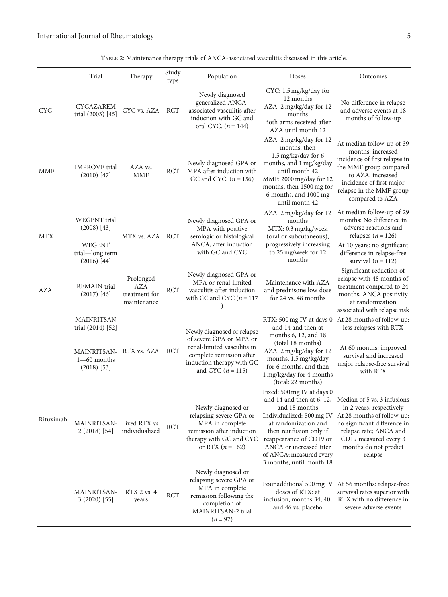Table 2: Maintenance therapy trials of ANCA-associated vasculitis discussed in this article.

<span id="page-4-0"></span>

|            | Trial                                                                                                | Therapy                                                 | Study<br>type | Population                                                                                                                                                           | Doses                                                                                                                                                                                                                                    | Outcomes                                                                                                                                                                                                                               |
|------------|------------------------------------------------------------------------------------------------------|---------------------------------------------------------|---------------|----------------------------------------------------------------------------------------------------------------------------------------------------------------------|------------------------------------------------------------------------------------------------------------------------------------------------------------------------------------------------------------------------------------------|----------------------------------------------------------------------------------------------------------------------------------------------------------------------------------------------------------------------------------------|
| <b>CYC</b> | <b>CYCAZAREM</b><br>trial (2003) [45]                                                                | CYC vs. AZA                                             | <b>RCT</b>    | Newly diagnosed<br>generalized ANCA-<br>associated vasculitis after<br>induction with GC and<br>oral CYC. $(n = 144)$                                                | CYC: 1.5 mg/kg/day for<br>12 months<br>AZA: 2 mg/kg/day for 12<br>months<br>Both arms received after<br>AZA until month 12                                                                                                               | No difference in relapse<br>and adverse events at 18<br>months of follow-up                                                                                                                                                            |
| <b>MMF</b> | <b>IMPROVE</b> trial<br>$(2010)$ [47]                                                                | AZA vs.<br><b>MMF</b>                                   | RCT           | Newly diagnosed GPA or<br>MPA after induction with<br>GC and CYC. $(n = 156)$                                                                                        | AZA: 2 mg/kg/day for 12<br>months, then<br>1.5 mg/kg/day for 6<br>months, and 1 mg/kg/day<br>until month 42<br>MMF: 2000 mg/day for 12<br>months, then 1500 mg for<br>6 months, and 1000 mg<br>until month 42                            | At median follow-up of 39<br>months: increased<br>incidence of first relapse in<br>the MMF group compared<br>to AZA; increased<br>incidence of first major<br>relapse in the MMF group<br>compared to AZA                              |
| <b>MTX</b> | <b>WEGENT</b> trial<br>$(2008)$ [43]<br><b>WEGENT</b><br>trial-long term<br>$(2016)$ [44]            | MTX vs. AZA RCT                                         |               | Newly diagnosed GPA or<br>MPA with positive<br>serologic or histological<br>ANCA, after induction<br>with GC and CYC                                                 | AZA: 2 mg/kg/day for 12<br>months<br>MTX: 0.3 mg/kg/week<br>(oral or subcutaneous),<br>progressively increasing<br>to 25 mg/week for 12<br>months                                                                                        | At median follow-up of 29<br>months: No difference in<br>adverse reactions and<br>relapses ( $n = 126$ )<br>At 10 years: no significant<br>difference in relapse-free<br>survival $(n = 112)$                                          |
| AZA        | REMAIN trial<br>$(2017)$ [46]                                                                        | Prolonged<br><b>AZA</b><br>treatment for<br>maintenance | <b>RCT</b>    | Newly diagnosed GPA or<br>MPA or renal-limited<br>vasculitis after induction<br>with GC and CYC ( $n = 117$                                                          | Maintenance with AZA<br>and prednisone low dose<br>for 24 vs. 48 months                                                                                                                                                                  | Significant reduction of<br>relapse with 48 months of<br>treatment compared to 24<br>months; ANCA positivity<br>at randomization<br>associated with relapse risk                                                                       |
|            | <b>MAINRITSAN</b><br>trial (2014) [52]<br>MAINRITSAN-RTX vs. AZA<br>$1 - 60$ months<br>$(2018)$ [53] |                                                         | RCT           | Newly diagnosed or relapse<br>of severe GPA or MPA or<br>renal-limited vasculitis in<br>complete remission after<br>induction therapy with GC<br>and CYC $(n = 115)$ | RTX: 500 mg IV at days 0<br>and 14 and then at<br>months 6, 12, and 18<br>(total 18 months)<br>AZA: 2 mg/kg/day for 12<br>months, 1.5 mg/kg/day<br>for 6 months, and then<br>1 mg/kg/day for 4 months<br>(total: 22 months)              | At 28 months of follow-up:<br>less relapses with RTX<br>At 60 months: improved<br>survival and increased<br>major relapse-free survival<br>with RTX                                                                                    |
| Rituximab  | MAINRITSAN- Fixed RTX vs.<br>$2(2018)$ [54]                                                          | individualized                                          | RCT           | Newly diagnosed or<br>relapsing severe GPA or<br>MPA in complete<br>remission after induction<br>therapy with GC and CYC<br>or RTX $(n = 162)$                       | Fixed: 500 mg IV at days 0<br>and 18 months<br>Individualized: 500 mg IV<br>at randomization and<br>then reinfusion only if<br>reappearance of CD19 or<br>ANCA or increased titer<br>of ANCA; measured every<br>3 months, until month 18 | and 14 and then at 6, 12, Median of 5 vs. 3 infusions<br>in 2 years, respectively<br>At 28 months of follow-up:<br>no significant difference in<br>relapse rate; ANCA and<br>CD19 measured every 3<br>months do not predict<br>relapse |
|            | MAINRITSAN-<br>$3(2020)$ [55]                                                                        | RTX 2 vs. 4<br>years                                    | <b>RCT</b>    | Newly diagnosed or<br>relapsing severe GPA or<br>MPA in complete<br>remission following the<br>completion of<br>MAINRITSAN-2 trial<br>$(n = 97)$                     | Four additional 500 mg IV<br>doses of RTX: at<br>inclusion, months 34, 40,<br>and 46 vs. placebo                                                                                                                                         | At 56 months: relapse-free<br>survival rates superior with<br>RTX with no difference in<br>severe adverse events                                                                                                                       |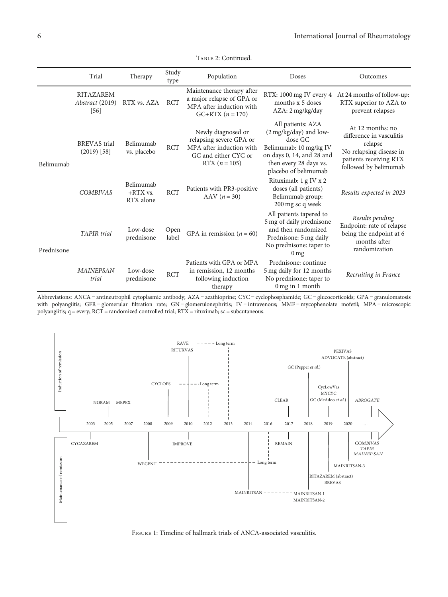<span id="page-5-0"></span>

|            | Trial                                         | Therapy                              | Study<br>type | Population                                                                                                           | Doses                                                                                                                                                           | Outcomes                                                                                                                              |
|------------|-----------------------------------------------|--------------------------------------|---------------|----------------------------------------------------------------------------------------------------------------------|-----------------------------------------------------------------------------------------------------------------------------------------------------------------|---------------------------------------------------------------------------------------------------------------------------------------|
|            | <b>RITAZAREM</b><br>Abstract (2019)<br>$[56]$ | RTX vs. AZA                          | <b>RCT</b>    | Maintenance therapy after<br>a major relapse of GPA or<br>MPA after induction with<br>$GC+RTX (n = 170)$             | RTX: 1000 mg IV every 4<br>months x 5 doses<br>AZA: 2 mg/kg/day                                                                                                 | At 24 months of follow-up:<br>RTX superior to AZA to<br>prevent relapses                                                              |
| Belimumab  | <b>BREVAS</b> trial<br>$(2019)$ [58]          | Belimumab<br>vs. placebo             | <b>RCT</b>    | Newly diagnosed or<br>relapsing severe GPA or<br>MPA after induction with<br>GC and either CYC or<br>RTX $(n = 105)$ | All patients: AZA<br>(2 mg/kg/day) and low-<br>dose GC<br>Belimumab: 10 mg/kg IV<br>on days 0, 14, and 28 and<br>then every 28 days vs.<br>placebo of belimumab | At 12 months: no<br>difference in vasculitis<br>relapse<br>No relapsing disease in<br>patients receiving RTX<br>followed by belimumab |
|            | <b>COMBIVAS</b>                               | Belimumab<br>$+RTX$ vs.<br>RTX alone | <b>RCT</b>    | Patients with PR3-positive<br>$AAV (n = 30)$                                                                         | Rituximab: 1 g IV x 2<br>doses (all patients)<br>Belimumab group:<br>200 mg sc q week                                                                           | Results expected in 2023                                                                                                              |
| Prednisone | <b>TAPIR</b> trial                            | Low-dose<br>prednisone               | Open<br>label | GPA in remission ( $n = 60$ )                                                                                        | All patients tapered to<br>5 mg of daily prednisone<br>and then randomized<br>Prednisone: 5 mg daily<br>No prednisone: taper to<br>0 <sub>mg</sub>              | Results pending<br>Endpoint: rate of relapse<br>being the endpoint at 6<br>months after<br>randomization                              |
|            | <b>MAINEPSAN</b><br>trial                     | Low-dose<br>prednisone               | <b>RCT</b>    | Patients with GPA or MPA<br>in remission, 12 months<br>following induction<br>therapy                                | Prednisone: continue<br>5 mg daily for 12 months<br>No prednisone: taper to<br>$0$ mg in 1 month                                                                | Recruiting in France                                                                                                                  |

Table 2: Continued.





Figure 1: Timeline of hallmark trials of ANCA-associated vasculitis.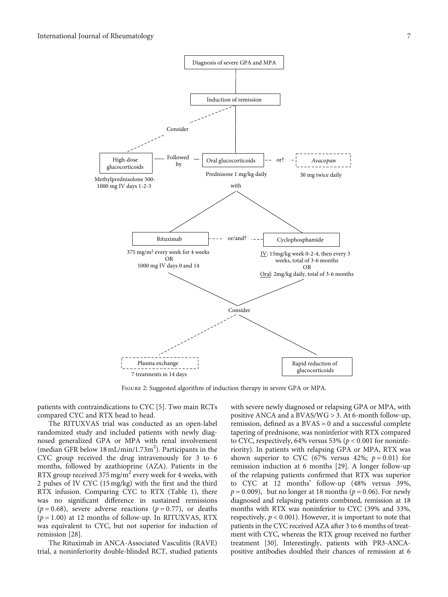<span id="page-6-0"></span>

Figure 2: Suggested algorithm of induction therapy in severe GPA or MPA.

patients with contraindications to CYC [\[5\]](#page-11-0). Two main RCTs compared CYC and RTX head to head.

The RITUXVAS trial was conducted as an open-label randomized study and included patients with newly diagnosed generalized GPA or MPA with renal involvement (median GFR below 18 mL/min/1.73m<sup>2</sup>). Participants in the CYC group received the drug intravenously for 3 to 6 months, followed by azathioprine (AZA). Patients in the RTX group received 375 mg/m<sup>2</sup> every week for 4 weeks, with 2 pulses of IV CYC (15 mg/kg) with the first and the third RTX infusion. Comparing CYC to RTX (Table [1](#page-2-0)), there was no significant difference in sustained remissions  $(p = 0.68)$ , severe adverse reactions  $(p = 0.77)$ , or deaths  $(p = 1.00)$  at 12 months of follow-up. In RITUXVAS, RTX was equivalent to CYC, but not superior for induction of remission [\[28\]](#page-12-0).

The Rituximab in ANCA-Associated Vasculitis (RAVE) trial, a noninferiority double-blinded RCT, studied patients

with severe newly diagnosed or relapsing GPA or MPA, with positive ANCA and a BVAS/WG > 3. At 6-month follow-up, remission, defined as a BVAS = 0 and a successful complete tapering of prednisone, was noninferior with RTX compared to CYC, respectively, 64% versus 53% (*p* < 0*:*001 for noninferiority). In patients with relapsing GPA or MPA, RTX was shown superior to CYC (67% versus 42%;  $p = 0.01$ ) for remission induction at 6 months [\[29\]](#page-12-0). A longer follow-up of the relapsing patients confirmed that RTX was superior to CYC at 12 months' follow-up (48% versus 39%,  $p = 0.009$ , but no longer at 18 months ( $p = 0.06$ ). For newly diagnosed and relapsing patients combined, remission at 18 months with RTX was noninferior to CYC (39% and 33%, respectively,  $p < 0.001$ ). However, it is important to note that patients in the CYC received AZA after 3 to 6 months of treatment with CYC, whereas the RTX group received no further treatment [\[30\]](#page-12-0). Interestingly, patients with PR3-ANCApositive antibodies doubled their chances of remission at 6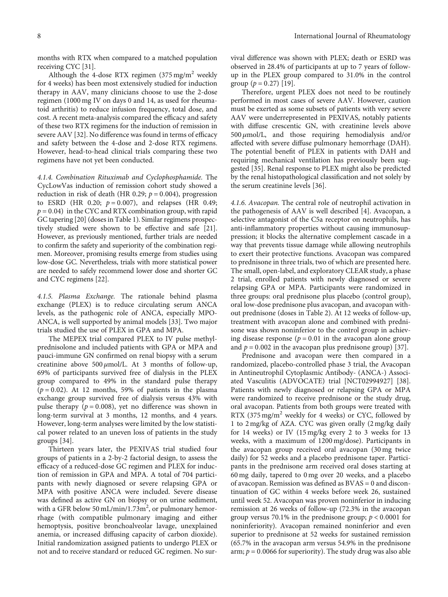months with RTX when compared to a matched population receiving CYC [\[31](#page-12-0)].

Although the 4-dose RTX regimen  $(375 \text{ mg/m}^2 \text{ weekly})$ for 4 weeks) has been most extensively studied for induction therapy in AAV, many clinicians choose to use the 2-dose regimen (1000 mg IV on days 0 and 14, as used for rheumatoid arthritis) to reduce infusion frequency, total dose, and cost. A recent meta-analysis compared the efficacy and safety of these two RTX regimens for the induction of remission in severe AAV [\[32\]](#page-12-0). No difference was found in terms of efficacy and safety between the 4-dose and 2-dose RTX regimens. However, head-to-head clinical trials comparing these two regimens have not yet been conducted.

4.1.4. Combination Rituximab and Cyclophosphamide. The CycLowVas induction of remission cohort study showed a reduction in risk of death (HR 0.29;  $p = 0.004$ ), progression to ESRD (HR 0.20; *p* = 0*:*007), and relapses (HR 0.49;  $p = 0.04$ ) in the CYC and RTX combination group, with rapid GC tapering [\[20](#page-12-0)] (doses in Table [1](#page-2-0)). Similar regimens prospectively studied were shown to be effective and safe [\[21](#page-12-0)]. However, as previously mentioned, further trials are needed to confirm the safety and superiority of the combination regimen. Moreover, promising results emerge from studies using low-dose GC. Nevertheless, trials with more statistical power are needed to safely recommend lower dose and shorter GC and CYC regimens [\[22](#page-12-0)].

4.1.5. Plasma Exchange. The rationale behind plasma exchange (PLEX) is to reduce circulating serum ANCA levels, as the pathogenic role of ANCA, especially MPO-ANCA, is well supported by animal models [\[33\]](#page-12-0). Two major trials studied the use of PLEX in GPA and MPA.

The MEPEX trial compared PLEX to IV pulse methylprednisolone and included patients with GPA or MPA and pauci-immune GN confirmed on renal biopsy with a serum creatinine above 500 *μ*mol/L. At 3 months of follow-up, 69% of participants survived free of dialysis in the PLEX group compared to 49% in the standard pulse therapy  $(p = 0.02)$ . At 12 months, 59% of patients in the plasma exchange group survived free of dialysis versus 43% with pulse therapy  $(p = 0.008)$ , yet no difference was shown in long-term survival at 3 months, 12 months, and 4 years. However, long-term analyses were limited by the low statistical power related to an uneven loss of patients in the study groups [\[34\]](#page-12-0).

Thirteen years later, the PEXIVAS trial studied four groups of patients in a 2-by-2 factorial design, to assess the efficacy of a reduced-dose GC regimen and PLEX for induction of remission in GPA and MPA. A total of 704 participants with newly diagnosed or severe relapsing GPA or MPA with positive ANCA were included. Severe disease was defined as active GN on biopsy or on urine sediment, with a GFR below 50 mL/min/1.73 $m^2$ , or pulmonary hemorrhage (with compatible pulmonary imaging and either hemoptysis, positive bronchoalveolar lavage, unexplained anemia, or increased diffusing capacity of carbon dioxide). Initial randomization assigned patients to undergo PLEX or not and to receive standard or reduced GC regimen. No survival difference was shown with PLEX; death or ESRD was observed in 28.4% of participants at up to 7 years of followup in the PLEX group compared to 31.0% in the control group  $(p = 0.27)$  [\[19\]](#page-12-0).

Therefore, urgent PLEX does not need to be routinely performed in most cases of severe AAV. However, caution must be exerted as some subsets of patients with very severe AAV were underrepresented in PEXIVAS, notably patients with diffuse crescentic GN, with creatinine levels above 500 *μ*mol/L, and those requiring hemodialysis and/or affected with severe diffuse pulmonary hemorrhage (DAH). The potential benefit of PLEX in patients with DAH and requiring mechanical ventilation has previously been suggested [[35](#page-12-0)]. Renal response to PLEX might also be predicted by the renal histopathological classification and not solely by the serum creatinine levels [[36](#page-12-0)].

4.1.6. Avacopan. The central role of neutrophil activation in the pathogenesis of AAV is well described [[4\]](#page-11-0). Avacopan, a selective antagonist of the C5a receptor on neutrophils, has anti-inflammatory properties without causing immunosuppression; it blocks the alternative complement cascade in a way that prevents tissue damage while allowing neutrophils to exert their protective functions. Avacopan was compared to prednisone in three trials, two of which are presented here. The small, open-label, and exploratory CLEAR study, a phase 2 trial, enrolled patients with newly diagnosed or severe relapsing GPA or MPA. Participants were randomized in three groups: oral prednisone plus placebo (control group), oral low-dose prednisone plus avacopan, and avacopan without prednisone (doses in Table [2\)](#page-4-0). At 12 weeks of follow-up, treatment with avacopan alone and combined with prednisone was shown noninferior to the control group in achieving disease response ( $p = 0.01$  in the avacopan alone group and  $p = 0.002$  in the avacopan plus prednisone group) [[37](#page-12-0)].

Prednisone and avacopan were then compared in a randomized, placebo-controlled phase 3 trial, the Avacopan in Antineutrophil Cytoplasmic Antibody- (ANCA-) Associated Vasculitis (ADVOCATE) trial [\[NCT02994927\]](https://clinicaltrials.gov/ct2/show/NCT02994927) [[38](#page-12-0)]. Patients with newly diagnosed or relapsing GPA or MPA were randomized to receive prednisone or the study drug, oral avacopan. Patients from both groups were treated with RTX  $(375 \text{ mg/m}^2$  weekly for 4 weeks) or CYC, followed by 1 to 2 mg/kg of AZA. CYC was given orally (2 mg/kg daily for 14 weeks) or IV (15 mg/kg every 2 to 3 weeks for 13 weeks, with a maximum of 1200 mg/dose). Participants in the avacopan group received oral avacopan (30 mg twice daily) for 52 weeks and a placebo prednisone taper. Participants in the prednisone arm received oral doses starting at 60 mg daily, tapered to 0 mg over 20 weeks, and a placebo of avacopan. Remission was defined as BVAS = 0 and discontinuation of GC within 4 weeks before week 26, sustained until week 52. Avacopan was proven noninferior in inducing remission at 26 weeks of follow-up (72.3% in the avacopan group versus 70.1% in the prednisone group; *p* < 0*:*0001 for noninferiority). Avacopan remained noninferior and even superior to prednisone at 52 weeks for sustained remission (65.7% in the avacopan arm versus 54.9% in the prednisone arm;  $p = 0.0066$  for superiority). The study drug was also able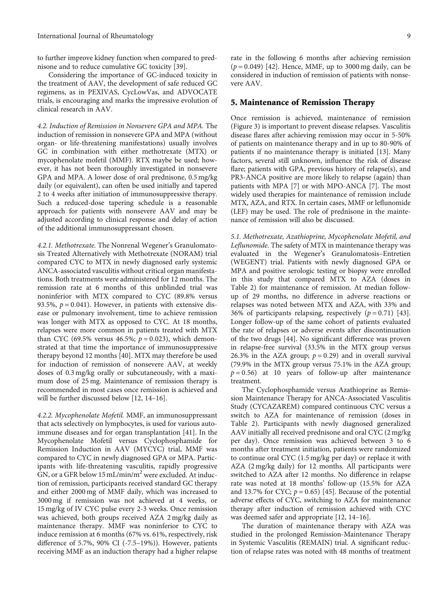to further improve kidney function when compared to prednisone and to reduce cumulative GC toxicity [[39](#page-12-0)].

Considering the importance of GC-induced toxicity in the treatment of AAV, the development of safe reduced GC regimens, as in PEXIVAS, CycLowVas, and ADVOCATE trials, is encouraging and marks the impressive evolution of clinical research in AAV.

4.2. Induction of Remission in Nonsevere GPA and MPA. The induction of remission in nonsevere GPA and MPA (without organ- or life-threatening manifestations) usually involves GC in combination with either methotrexate (MTX) or mycophenolate mofetil (MMF). RTX maybe be used; however, it has not been thoroughly investigated in nonsevere GPA and MPA. A lower dose of oral prednisone, 0.5 mg/kg daily (or equivalent), can often be used initially and tapered 2 to 4 weeks after initiation of immunosuppressive therapy. Such a reduced-dose tapering schedule is a reasonable approach for patients with nonsevere AAV and may be adjusted according to clinical response and delay of action of the additional immunosuppressant chosen.

4.2.1. Methotrexate. The Nonrenal Wegener's Granulomatosis Treated Alternatively with Methotrexate (NORAM) trial compared CYC to MTX in newly diagnosed early systemic ANCA-associated vasculitis without critical organ manifestations. Both treatments were administered for 12 months. The remission rate at 6 months of this unblinded trial was noninferior with MTX compared to CYC (89.8% versus 93.5%,  $p = 0.041$ ). However, in patients with extensive disease or pulmonary involvement, time to achieve remission was longer with MTX as opposed to CYC. At 18 months, relapses were more common in patients treated with MTX than CYC (69.5% versus 46.5%;  $p = 0.023$ ), which demonstrated at that time the importance of immunosuppressive therapy beyond 12 months [\[40\]](#page-13-0). MTX may therefore be used for induction of remission of nonsevere AAV, at weekly doses of 0.3 mg/kg orally or subcutaneously, with a maximum dose of 25 mg. Maintenance of remission therapy is recommended in most cases once remission is achieved and will be further discussed below [\[12, 14](#page-12-0)–[16](#page-12-0)].

4.2.2. Mycophenolate Mofetil. MMF, an immunosuppressant that acts selectively on lymphocytes, is used for various autoimmune diseases and for organ transplantation [\[41\]](#page-13-0). In the Mycophenolate Mofetil versus Cyclophosphamide for Remission Induction in AAV (MYCYC) trial, MMF was compared to CYC in newly diagnosed GPA or MPA. Participants with life-threatening vasculitis, rapidly progressive GN, or a GFR below 15 mL/min/m<sup>2</sup> were excluded. At induction of remission, participants received standard GC therapy and either 2000 mg of MMF daily, which was increased to 3000 mg if remission was not achieved at 4 weeks, or 15 mg/kg of IV CYC pulse every 2-3 weeks. Once remission was achieved, both groups received AZA 2 mg/kg daily as maintenance therapy. MMF was noninferior to CYC to induce remission at 6 months (67% vs. 61%, respectively, risk difference of 5.7%, 90% CI (-7.5–19%)). However, patients receiving MMF as an induction therapy had a higher relapse rate in the following 6 months after achieving remission (*p* = 0*:*049) [\[42\]](#page-13-0). Hence, MMF, up to 3000 mg daily, can be considered in induction of remission of patients with nonsevere AAV.

### 5. Maintenance of Remission Therapy

Once remission is achieved, maintenance of remission (Figure [3](#page-9-0)) is important to prevent disease relapses. Vasculitis disease flares after achieving remission may occur in 5-50% of patients on maintenance therapy and in up to 80-90% of patients if no maintenance therapy is initiated [[13](#page-12-0)]. Many factors, several still unknown, influence the risk of disease flare; patients with GPA, previous history of relapse(s), and PR3-ANCA positive are more likely to relapse (again) than patients with MPA [[7\]](#page-11-0) or with MPO-ANCA [\[7](#page-11-0)]. The most widely used therapies for maintenance of remission include MTX, AZA, and RTX. In certain cases, MMF or leflunomide (LEF) may be used. The role of prednisone in the maintenance of remission will also be discussed.

5.1. Methotrexate, Azathioprine, Mycophenolate Mofetil, and Leflunomide. The safety of MTX in maintenance therapy was evaluated in the Wegener's Granulomatosis–Entretien (WEGENT) trial. Patients with newly diagnosed GPA or MPA and positive serologic testing or biopsy were enrolled in this study that compared MTX to AZA (doses in Table [2\)](#page-4-0) for maintenance of remission. At median followup of 29 months, no difference in adverse reactions or relapses was noted between MTX and AZA, with 33% and 36% of participants relapsing, respectively  $(p = 0.71)$  [[43](#page-13-0)]. Longer follow-up of the same cohort of patients evaluated the rate of relapses or adverse events after discontinuation of the two drugs [\[44\]](#page-13-0). No significant difference was proven in relapse-free survival (33.5% in the MTX group versus 26.3% in the AZA group;  $p = 0.29$ ) and in overall survival (79.9% in the MTX group versus 75.1% in the AZA group;  $p = 0.56$ ) at 10 years of follow-up after maintenance treatment.

The Cyclophosphamide versus Azathioprine as Remission Maintenance Therapy for ANCA-Associated Vasculitis Study (CYCAZAREM) compared continuous CYC versus a switch to AZA for maintenance of remission (doses in Table [2\)](#page-4-0). Participants with newly diagnosed generalized AAV initially all received prednisone and oral CYC (2 mg/kg per day). Once remission was achieved between 3 to 6 months after treatment initiation, patients were randomized to continue oral CYC (1.5 mg/kg per day) or replace it with AZA (2 mg/kg daily) for 12 months. All participants were switched to AZA after 12 months. No difference in relapse rate was noted at 18 months' follow-up (15.5% for AZA and 13.7% for CYC;  $p = 0.65$ ) [\[45\]](#page-13-0). Because of the potential adverse effects of CYC, switching to AZA for maintenance therapy after induction of remission achieved with CYC was deemed safer and appropriate [\[12, 14](#page-12-0)–[16\]](#page-12-0).

The duration of maintenance therapy with AZA was studied in the prolonged Remission-Maintenance Therapy in Systemic Vasculitis (REMAIN) trial. A significant reduction of relapse rates was noted with 48 months of treatment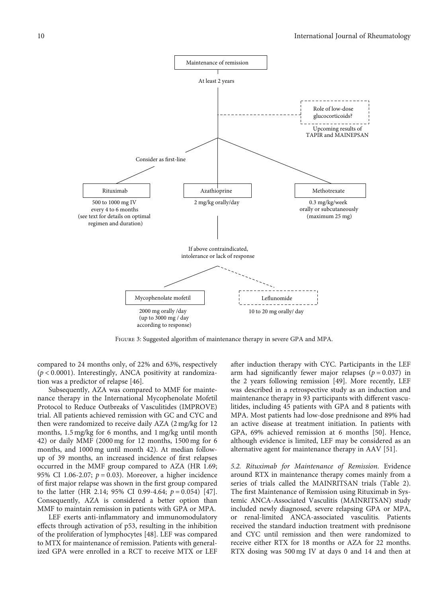<span id="page-9-0"></span>

Figure 3: Suggested algorithm of maintenance therapy in severe GPA and MPA.

compared to 24 months only, of 22% and 63%, respectively (*p* < 0*:*0001). Interestingly, ANCA positivity at randomization was a predictor of relapse [\[46\]](#page-13-0).

Subsequently, AZA was compared to MMF for maintenance therapy in the International Mycophenolate Mofetil Protocol to Reduce Outbreaks of Vasculitides (IMPROVE) trial. All patients achieved remission with GC and CYC and then were randomized to receive daily AZA (2 mg/kg for 12 months, 1.5 mg/kg for 6 months, and 1 mg/kg until month 42) or daily MMF (2000 mg for 12 months, 1500 mg for 6 months, and 1000 mg until month 42). At median followup of 39 months, an increased incidence of first relapses occurred in the MMF group compared to AZA (HR 1.69; 95% CI 1.06-2.07; *p* = 0*:*03). Moreover, a higher incidence of first major relapse was shown in the first group compared to the latter (HR 2.14; 95% CI 0.99-4.64; *p* = 0*:*054) [[47](#page-13-0)]. Consequently, AZA is considered a better option than MMF to maintain remission in patients with GPA or MPA.

LEF exerts anti-inflammatory and immunomodulatory effects through activation of p53, resulting in the inhibition of the proliferation of lymphocytes [\[48\]](#page-13-0). LEF was compared to MTX for maintenance of remission. Patients with generalized GPA were enrolled in a RCT to receive MTX or LEF

after induction therapy with CYC. Participants in the LEF arm had significantly fewer major relapses (*p* = 0*:*037) in the 2 years following remission [\[49\]](#page-13-0). More recently, LEF was described in a retrospective study as an induction and maintenance therapy in 93 participants with different vasculitides, including 45 patients with GPA and 8 patients with MPA. Most patients had low-dose prednisone and 89% had an active disease at treatment initiation. In patients with GPA, 69% achieved remission at 6 months [\[50\]](#page-13-0). Hence, although evidence is limited, LEF may be considered as an alternative agent for maintenance therapy in AAV [[51](#page-13-0)].

5.2. Rituximab for Maintenance of Remission. Evidence around RTX in maintenance therapy comes mainly from a series of trials called the MAINRITSAN trials (Table [2](#page-4-0)). The first Maintenance of Remission using Rituximab in Systemic ANCA-Associated Vasculitis (MAINRITSAN) study included newly diagnosed, severe relapsing GPA or MPA, or renal-limited ANCA-associated vasculitis. Patients received the standard induction treatment with prednisone and CYC until remission and then were randomized to receive either RTX for 18 months or AZA for 22 months. RTX dosing was 500 mg IV at days 0 and 14 and then at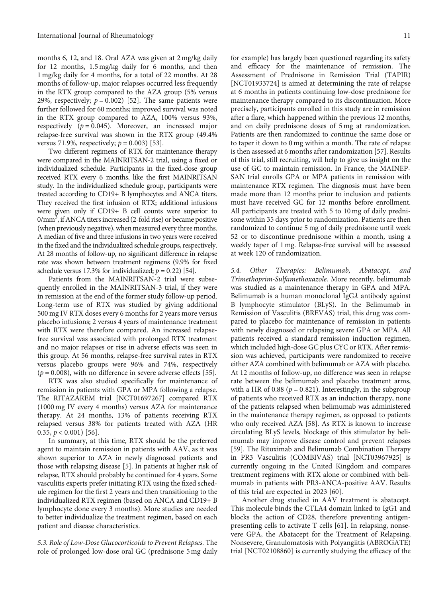months 6, 12, and 18. Oral AZA was given at 2 mg/kg daily for 12 months, 1.5 mg/kg daily for 6 months, and then 1 mg/kg daily for 4 months, for a total of 22 months. At 28 months of follow-up, major relapses occurred less frequently in the RTX group compared to the AZA group (5% versus 29%, respectively;  $p = 0.002$ ) [\[52](#page-13-0)]. The same patients were further followed for 60 months; improved survival was noted in the RTX group compared to AZA, 100% versus 93%, respectively  $(p = 0.045)$ . Moreover, an increased major relapse-free survival was shown in the RTX group (49.4% versus 71.9%, respectively;  $p = 0.003$  [\[53\]](#page-13-0).

Two different regimens of RTX for maintenance therapy were compared in the MAINRITSAN-2 trial, using a fixed or individualized schedule. Participants in the fixed-dose group received RTX every 6 months, like the first MAINRITSAN study. In the individualized schedule group, participants were treated according to CD19+ B lymphocytes and ANCA titers. They received the first infusion of RTX; additional infusions were given only if CD19+ B cell counts were superior to  $0/\text{mm}^3$ , if ANCA titers increased (2-fold rise) or became positive (when previously negative), when measured every three months. A median of five and three infusions in two years were received in the fixed and the individualized schedule groups, respectively. At 28 months of follow-up, no significant difference in relapse rate was shown between treatment regimens (9.9% for fixed schedule versus 17.3% for individualized;  $p = 0.22$ ) [\[54\]](#page-13-0).

Patients from the MAINRITSAN-2 trial were subsequently enrolled in the MAINRITSAN-3 trial, if they were in remission at the end of the former study follow-up period. Long-term use of RTX was studied by giving additional 500 mg IV RTX doses every 6 months for 2 years more versus placebo infusions; 2 versus 4 years of maintenance treatment with RTX were therefore compared. An increased relapsefree survival was associated with prolonged RTX treatment and no major relapses or rise in adverse effects was seen in this group. At 56 months, relapse-free survival rates in RTX versus placebo groups were 96% and 74%, respectively  $(p = 0.008)$ , with no difference in severe adverse effects [[55](#page-13-0)].

RTX was also studied specifically for maintenance of remission in patients with GPA or MPA following a relapse. The RITAZAREM trial [[NCT01697267](https://clinicaltrials.gov/ct2/show/NCT01697267)] compared RTX (1000 mg IV every 4 months) versus AZA for maintenance therapy. At 24 months, 13% of patients receiving RTX relapsed versus 38% for patients treated with AZA (HR 0.35, *p* < 0*:*001) [[56](#page-13-0)].

In summary, at this time, RTX should be the preferred agent to maintain remission in patients with AAV, as it was shown superior to AZA in newly diagnosed patients and those with relapsing disease [[5](#page-11-0)]. In patients at higher risk of relapse, RTX should probably be continued for 4 years. Some vasculitis experts prefer initiating RTX using the fixed schedule regimen for the first 2 years and then transitioning to the individualized RTX regimen (based on ANCA and CD19+ B lymphocyte done every 3 months). More studies are needed to better individualize the treatment regimen, based on each patient and disease characteristics.

5.3. Role of Low-Dose Glucocorticoids to Prevent Relapses. The role of prolonged low-dose oral GC (prednisone 5 mg daily

for example) has largely been questioned regarding its safety and efficacy for the maintenance of remission. The Assessment of Prednisone in Remission Trial (TAPIR) [\[NCT01933724\]](https://clinicaltrials.gov/ct2/show/NCT01933724) is aimed at determining the rate of relapse at 6 months in patients continuing low-dose prednisone for maintenance therapy compared to its discontinuation. More precisely, participants enrolled in this study are in remission after a flare, which happened within the previous 12 months, and on daily prednisone doses of 5 mg at randomization. Patients are then randomized to continue the same dose or to taper it down to 0 mg within a month. The rate of relapse is then assessed at 6 months after randomization [[57](#page-13-0)]. Results of this trial, still recruiting, will help to give us insight on the use of GC to maintain remission. In France, the MAINEP-SAN trial enrolls GPA or MPA patients in remission with maintenance RTX regimen. The diagnosis must have been made more than 12 months prior to inclusion and patients must have received GC for 12 months before enrollment. All participants are treated with 5 to 10 mg of daily prednisone within 35 days prior to randomization. Patients are then randomized to continue 5 mg of daily prednisone until week 52 or to discontinue prednisone within a month, using a weekly taper of 1 mg. Relapse-free survival will be assessed at week 120 of randomization.

5.4. Other Therapies: Belimumab, Abatacept, and Trimethoprim-Sulfamethoxazole. More recently, belimumab was studied as a maintenance therapy in GPA and MPA. Belimumab is a human monoclonal IgG*λ* antibody against B lymphocyte stimulator (BLyS). In the Belimumab in Remission of Vasculitis (BREVAS) trial, this drug was compared to placebo for maintenance of remission in patients with newly diagnosed or relapsing severe GPA or MPA. All patients received a standard remission induction regimen, which included high-dose GC plus CYC or RTX. After remission was achieved, participants were randomized to receive either AZA combined with belimumab or AZA with placebo. At 12 months of follow-up, no difference was seen in relapse rate between the belimumab and placebo treatment arms, with a HR of 0.88 ( $p = 0.821$ ). Interestingly, in the subgroup of patients who received RTX as an induction therapy, none of the patients relapsed when belimumab was administered in the maintenance therapy regimen, as opposed to patients who only received AZA [\[58\]](#page-13-0). As RTX is known to increase circulating BLyS levels, blockage of this stimulator by belimumab may improve disease control and prevent relapses [\[59](#page-13-0)]. The Rituximab and Belimumab Combination Therapy in PR3 Vasculitis (COMBIVAS) trial [\[NCT03967925\]](https://clinicaltrials.gov/ct2/show/NCT03967925) is currently ongoing in the United Kingdom and compares treatment regimens with RTX alone or combined with belimumab in patients with PR3-ANCA-positive AAV. Results of this trial are expected in 2023 [\[60\]](#page-13-0).

Another drug studied in AAV treatment is abatacept. This molecule binds the CTLA4 domain linked to IgG1 and blocks the action of CD28, therefore preventing antigenpresenting cells to activate T cells [\[61\]](#page-13-0). In relapsing, nonsevere GPA, the Abatacept for the Treatment of Relapsing, Nonsevere, Granulomatosis with Polyangiitis (ABROGATE) trial [\[NCT02108860\]](https://www.clinicaltrials.gov/ct2/show/NCT02108860) is currently studying the efficacy of the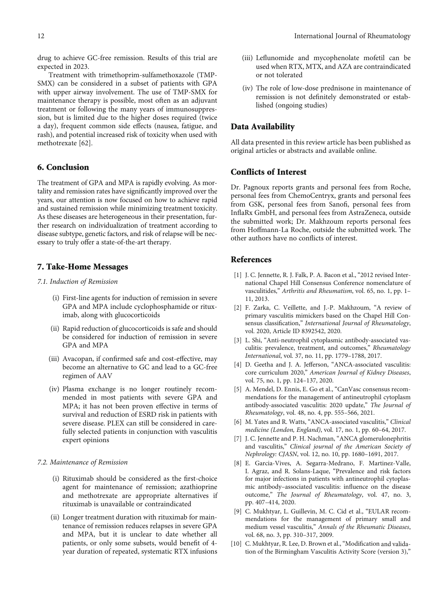<span id="page-11-0"></span>drug to achieve GC-free remission. Results of this trial are expected in 2023.

Treatment with trimethoprim-sulfamethoxazole (TMP-SMX) can be considered in a subset of patients with GPA with upper airway involvement. The use of TMP-SMX for maintenance therapy is possible, most often as an adjuvant treatment or following the many years of immunosuppression, but is limited due to the higher doses required (twice a day), frequent common side effects (nausea, fatigue, and rash), and potential increased risk of toxicity when used with methotrexate [[62](#page-13-0)].

# 6. Conclusion

The treatment of GPA and MPA is rapidly evolving. As mortality and remission rates have significantly improved over the years, our attention is now focused on how to achieve rapid and sustained remission while minimizing treatment toxicity. As these diseases are heterogeneous in their presentation, further research on individualization of treatment according to disease subtype, genetic factors, and risk of relapse will be necessary to truly offer a state-of-the-art therapy.

# 7. Take-Home Messages

#### 7.1. Induction of Remission

- (i) First-line agents for induction of remission in severe GPA and MPA include cyclophosphamide or rituximab, along with glucocorticoids
- (ii) Rapid reduction of glucocorticoids is safe and should be considered for induction of remission in severe GPA and MPA
- (iii) Avacopan, if confirmed safe and cost-effective, may become an alternative to GC and lead to a GC-free regimen of AAV
- (iv) Plasma exchange is no longer routinely recommended in most patients with severe GPA and MPA; it has not been proven effective in terms of survival and reduction of ESRD risk in patients with severe disease. PLEX can still be considered in carefully selected patients in conjunction with vasculitis expert opinions

#### 7.2. Maintenance of Remission

- (i) Rituximab should be considered as the first-choice agent for maintenance of remission; azathioprine and methotrexate are appropriate alternatives if rituximab is unavailable or contraindicated
- (ii) Longer treatment duration with rituximab for maintenance of remission reduces relapses in severe GPA and MPA, but it is unclear to date whether all patients, or only some subsets, would benefit of 4 year duration of repeated, systematic RTX infusions
- (iii) Leflunomide and mycophenolate mofetil can be used when RTX, MTX, and AZA are contraindicated or not tolerated
- (iv) The role of low-dose prednisone in maintenance of remission is not definitely demonstrated or established (ongoing studies)

## Data Availability

All data presented in this review article has been published as original articles or abstracts and available online.

# Conflicts of Interest

Dr. Pagnoux reports grants and personal fees from Roche, personal fees from ChemoCentryx, grants and personal fees from GSK, personal fees from Sanofi, personal fees from InflaRx GmbH, and personal fees from AstraZeneca, outside the submitted work; Dr. Makhzoum reports personal fees from Hoffmann-La Roche, outside the submitted work. The other authors have no conflicts of interest.

# References

- [1] J. C. Jennette, R. J. Falk, P. A. Bacon et al., "2012 revised International Chapel Hill Consensus Conference nomenclature of vasculitides," Arthritis and Rheumatism, vol. 65, no. 1, pp. 1– 11, 2013.
- [2] F. Zarka, C. Veillette, and J.-P. Makhzoum, "A review of primary vasculitis mimickers based on the Chapel Hill Consensus classification," International Journal of Rheumatology, vol. 2020, Article ID 8392542, 2020.
- [3] L. Shi, "Anti-neutrophil cytoplasmic antibody-associated vasculitis: prevalence, treatment, and outcomes," Rheumatology International, vol. 37, no. 11, pp. 1779–1788, 2017.
- [4] D. Geetha and J. A. Jefferson, "ANCA-associated vasculitis: core curriculum 2020," American Journal of Kidney Diseases, vol. 75, no. 1, pp. 124–137, 2020.
- [5] A. Mendel, D. Ennis, E. Go et al., "CanVasc consensus recommendations for the management of antineutrophil cytoplasm antibody-associated vasculitis: 2020 update," The Journal of Rheumatology, vol. 48, no. 4, pp. 555–566, 2021.
- [6] M. Yates and R. Watts, "ANCA-associated vasculitis," Clinical medicine (London, England), vol. 17, no. 1, pp. 60–64, 2017.
- [7] J. C. Jennette and P. H. Nachman, "ANCA glomerulonephritis and vasculitis," Clinical journal of the American Society of Nephrology: CJASN, vol. 12, no. 10, pp. 1680–1691, 2017.
- [8] E. Garcia-Vives, A. Segarra-Medrano, F. Martinez-Valle, I. Agraz, and R. Solans-Laque, "Prevalence and risk factors for major infections in patients with antineutrophil cytoplasmic antibody–associated vasculitis: influence on the disease outcome," The Journal of Rheumatology, vol. 47, no. 3, pp. 407–414, 2020.
- [9] C. Mukhtyar, L. Guillevin, M. C. Cid et al., "EULAR recommendations for the management of primary small and medium vessel vasculitis," Annals of the Rheumatic Diseases, vol. 68, no. 3, pp. 310–317, 2009.
- [10] C. Mukhtyar, R. Lee, D. Brown et al., "Modification and validation of the Birmingham Vasculitis Activity Score (version 3),"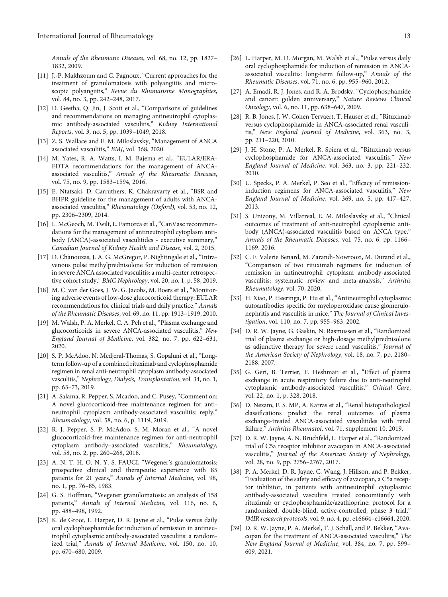<span id="page-12-0"></span>Annals of the Rheumatic Diseases, vol. 68, no. 12, pp. 1827– 1832, 2009.

- [11] J.-P. Makhzoum and C. Pagnoux, "Current approaches for the treatment of granulomatosis with polyangiitis and microscopic polyangiitis," Revue du Rhumatisme Monographies, vol. 84, no. 3, pp. 242–248, 2017.
- [12] D. Geetha, Q. Jin, J. Scott et al., "Comparisons of guidelines and recommendations on managing antineutrophil cytoplasmic antibody-associated vasculitis," Kidney International Reports, vol. 3, no. 5, pp. 1039–1049, 2018.
- [13] Z. S. Wallace and E. M. Miloslavsky, "Management of ANCA associated vasculitis," BMJ, vol. 368, 2020.
- [14] M. Yates, R. A. Watts, I. M. Bajema et al., "EULAR/ERA-EDTA recommendations for the management of ANCAassociated vasculitis," Annals of the Rheumatic Diseases, vol. 75, no. 9, pp. 1583–1594, 2016.
- [15] E. Ntatsaki, D. Carruthers, K. Chakravarty et al., "BSR and BHPR guideline for the management of adults with ANCAassociated vasculitis," Rheumatology (Oxford), vol. 53, no. 12, pp. 2306–2309, 2014.
- [16] L. McGeoch, M. Twilt, L. Famorca et al., "CanVasc recommendations for the management of antineutrophil cytoplasm antibody (ANCA)-associated vasculitides - executive summary," Canadian Journal of Kidney Health and Disease, vol. 2, 2015.
- [17] D. Chanouzas, J. A. G. McGregor, P. Nightingale et al., "Intravenous pulse methylprednisolone for induction of remission in severe ANCA associated vasculitis: a multi-center retrospective cohort study," BMC Nephrology, vol. 20, no. 1, p. 58, 2019.
- [18] M. C. van der Goes, J. W. G. Jacobs, M. Boers et al., "Monitoring adverse events of low-dose glucocorticoid therapy: EULAR recommendations for clinical trials and daily practice," Annals of the Rheumatic Diseases, vol. 69, no. 11, pp. 1913–1919, 2010.
- [19] M. Walsh, P. A. Merkel, C. A. Peh et al., "Plasma exchange and glucocorticoids in severe ANCA-associated vasculitis," New England Journal of Medicine, vol. 382, no. 7, pp. 622–631, 2020.
- [20] S. P. McAdoo, N. Medjeral-Thomas, S. Gopaluni et al., "Longterm follow-up of a combined rituximab and cyclophosphamide regimen in renal anti-neutrophil cytoplasm antibody-associated vasculitis," Nephrology, Dialysis, Transplantation, vol. 34, no. 1, pp. 63–73, 2019.
- [21] A. Salama, R. Pepper, S. Mcadoo, and C. Pusey, "Comment on: A novel glucocorticoid-free maintenance regimen for antineutrophil cytoplasm antibody-associated vasculitis: reply," Rheumatology, vol. 58, no. 6, p. 1119, 2019.
- [22] R. J. Pepper, S. P. McAdoo, S. M. Moran et al., "A novel glucocorticoid-free maintenance regimen for anti-neutrophil cytoplasm antibody-associated vasculitis," Rheumatology, vol. 58, no. 2, pp. 260–268, 2018.
- [23] A. N. T. H. O. N. Y. S. FAUCI, "Wegener's granulomatosis: prospective clinical and therapeutic experience with 85 patients for 21 years," Annals of Internal Medicine, vol. 98, no. 1, pp. 76–85, 1983.
- [24] G. S. Hoffman, "Wegener granulomatosis: an analysis of 158 patients," Annals of Internal Medicine, vol. 116, no. 6, pp. 488–498, 1992.
- [25] K. de Groot, L. Harper, D. R. Jayne et al., "Pulse versus daily oral cyclophosphamide for induction of remission in antineutrophil cytoplasmic antibody-associated vasculitis: a randomized trial," Annals of Internal Medicine, vol. 150, no. 10, pp. 670–680, 2009.
- [26] L. Harper, M. D. Morgan, M. Walsh et al., "Pulse versus daily oral cyclophosphamide for induction of remission in ANCAassociated vasculitis: long-term follow-up," Annals of the Rheumatic Diseases, vol. 71, no. 6, pp. 955–960, 2012.
- [27] A. Emadi, R. J. Jones, and R. A. Brodsky, "Cyclophosphamide and cancer: golden anniversary," Nature Reviews Clinical Oncology, vol. 6, no. 11, pp. 638–647, 2009.
- [28] R. B. Jones, J. W. Cohen Tervaert, T. Hauser et al., "Rituximab versus cyclophosphamide in ANCA-associated renal vasculitis," New England Journal of Medicine, vol. 363, no. 3, pp. 211–220, 2010.
- [29] J. H. Stone, P. A. Merkel, R. Spiera et al., "Rituximab versus cyclophosphamide for ANCA-associated vasculitis," New England Journal of Medicine, vol. 363, no. 3, pp. 221–232, 2010.
- [30] U. Specks, P. A. Merkel, P. Seo et al., "Efficacy of remissioninduction regimens for ANCA-associated vasculitis," New England Journal of Medicine, vol. 369, no. 5, pp. 417–427, 2013.
- [31] S. Unizony, M. Villarreal, E. M. Miloslavsky et al., "Clinical outcomes of treatment of anti-neutrophil cytoplasmic antibody (ANCA)-associated vasculitis based on ANCA type," Annals of the Rheumatic Diseases, vol. 75, no. 6, pp. 1166– 1169, 2016.
- [32] C. F. Valerie Benard, M. Zarandi-Nowroozi, M. Durand et al., "Comparison of two rituximab regimens for induction of remission in antineutrophil cytoplasm antibody-associated vasculitis: systematic review and meta-analysis," Arthritis Rheumatology, vol. 70, 2020.
- [33] H. Xiao, P. Heeringa, P. Hu et al., "Antineutrophil cytoplasmic autoantibodies specific for myeloperoxidase cause glomerulonephritis and vasculitis in mice," The Journal of Clinical Investigation, vol. 110, no. 7, pp. 955–963, 2002.
- [34] D. R. W. Jayne, G. Gaskin, N. Rasmussen et al., "Randomized trial of plasma exchange or high-dosage methylprednisolone as adjunctive therapy for severe renal vasculitis," Journal of the American Society of Nephrology, vol. 18, no. 7, pp. 2180– 2188, 2007.
- [35] G. Geri, B. Terrier, F. Heshmati et al., "Effect of plasma exchange in acute respiratory failure due to anti-neutrophil cytoplasmic antibody-associated vasculitis," Critical Care, vol. 22, no. 1, p. 328, 2018.
- [36] D. Nezam, F. S. MP, A. Karras et al., "Renal histopathological classifications predict the renal outcomes of plasma exchange-treated ANCA-associated vasculitides with renal failure," Arthritis Rheumatol, vol. 71, supplement 10, 2019.
- [37] D. R. W. Jayne, A. N. Bruchfeld, L. Harper et al., "Randomized trial of C5a receptor inhibitor avacopan in ANCA-associated vasculitis," Journal of the American Society of Nephrology, vol. 28, no. 9, pp. 2756–2767, 2017.
- [38] P. A. Merkel, D. R. Jayne, C. Wang, J. Hillson, and P. Bekker, "Evaluation of the safety and efficacy of avacopan, a C5a receptor inhibitor, in patients with antineutrophil cytoplasmic antibody-associated vasculitis treated concomitantly with rituximab or cyclophosphamide/azathioprine: protocol for a randomized, double-blind, active-controlled, phase 3 trial," JMIR research protocols, vol. 9, no. 4, pp. e16664–e16664, 2020.
- [39] D. R. W. Jayne, P. A. Merkel, T. J. Schall, and P. Bekker, "Avacopan for the treatment of ANCA-associated vasculitis," The New England Journal of Medicine, vol. 384, no. 7, pp. 599– 609, 2021.